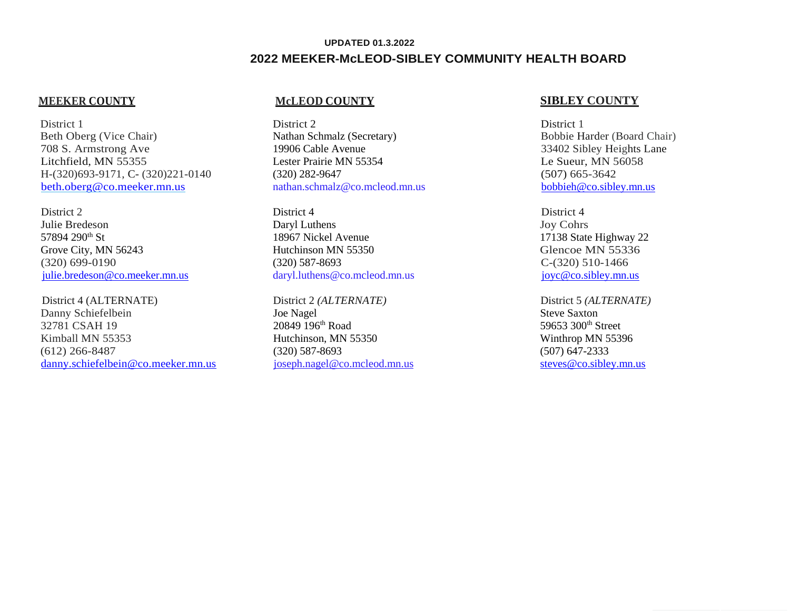# **UPDATED 01.3.2022 2022 MEEKER-McLEOD-SIBLEY COMMUNITY HEALTH BOARD**

District 1 Beth Oberg (Vice Chair) 708 S. Armstrong Ave Litchfield, MN 55355 H-(320)693-9171, C- (320)221-0140 [beth.oberg@co.meeker.mn.us](mailto:beth.oberg@co.meeker.mn.us)

District 2 Julie Bredeson 57894 290<sup>th</sup> St Grove City, MN 56243 (320) 699-0190 [julie.bredeson@co.meeker.mn.us](mailto:julie.bredeson@co.meeker.mn.us)

District 4 (ALTERNATE) Danny Schiefelbein 32781 CSAH 19 Kimball MN 55353 (612) 266-8487 [danny.schiefelbein@co.meeker.mn.us](mailto:danny.schiefelbein@co.meeker.mn.us)

District 2 Nathan Schmalz (Secretary) 19906 Cable Avenue Lester Prairie MN 55354 (320) 282-9647 nathan.schmalz@co.mcleod.mn.us

District 4 Daryl Luthens 18967 Nickel Avenue Hutchinson MN 55350 (320) 587-8693 daryl.luthens@co.mcleod.mn.us

District 2 *(ALTERNATE)* Joe Nagel 20849 196th Road Hutchinson, MN 55350 (320) 587-8693 joseph.nagel@co.mcleod.mn.us

### **MEEKER COUNTY McLEOD COUNTY SIBLEY COUNTY**

District 1 Bobbie Harder (Board Chair) 33402 Sibley Heights Lane Le Sueur, MN 56058 (507) 665-3642 [bobbieh@co.sibley.mn.us](mailto:bobbieh@co.sibley.mn.us)

District 4 Joy Cohrs 17138 State Highway 22 Glencoe MN 55336 C-(320) 510-1466 [joyc@co.sibley.mn.us](mailto:billp@co.sibley.mn.us)

District 5 *(ALTERNATE)* Steve Saxton 59653 300th Street Winthrop MN 55396 (507) 647-2333 [steves@co.sibley.mn.us](mailto:steves@co.sibley.mn.us)